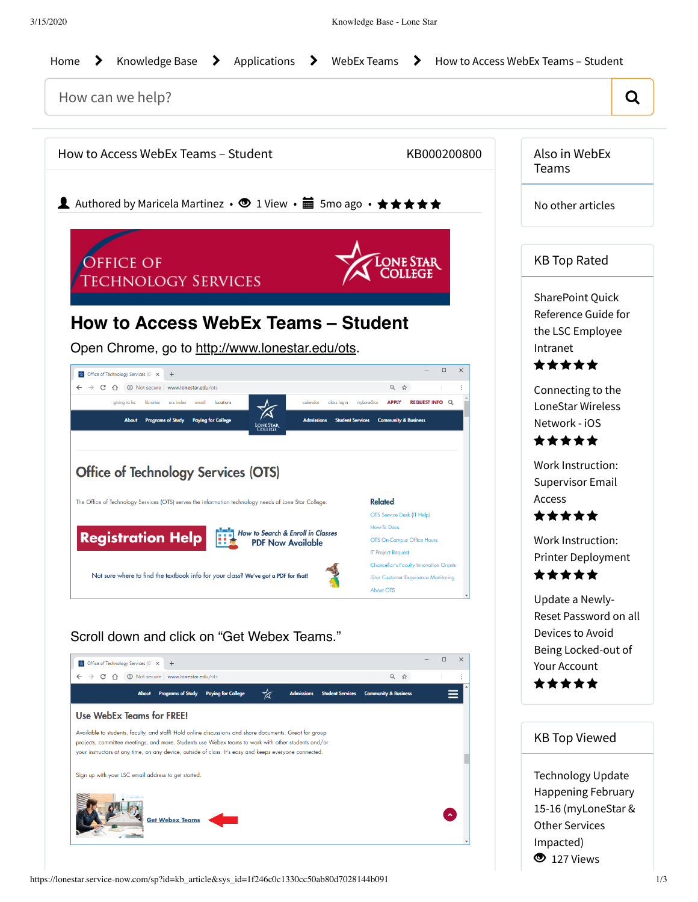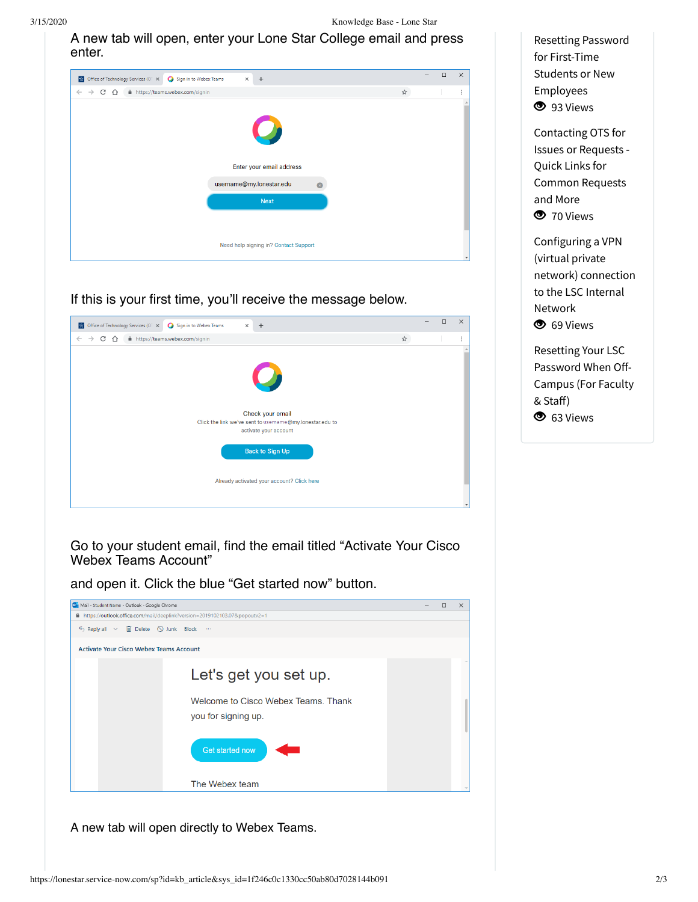3/15/2020 Knowledge Base - Lone Star

A new tab will open, enter your Lone Star College email and press enter.

| <b>A</b> Office of Technology Services (OT X<br>Sign in to Webex Teams<br>$\times$ + |   | $\Box$ | $\times$ |
|--------------------------------------------------------------------------------------|---|--------|----------|
| C ^ iii https://teams.webex.com/signin<br>$\leftarrow$ $\rightarrow$                 | ☆ |        | ÷        |
| $\mathcal{L}$                                                                        |   |        |          |
| Enter your email address<br>username@my.lonestar.edu                                 |   |        |          |
| <b>Next</b>                                                                          |   |        |          |
| Need help signing in? Contact Support                                                |   |        |          |
|                                                                                      |   |        |          |

If this is your first time, you'll receive the message below.

| <b>24</b> Office of Technology Services (OT X<br>Sign in to Webex Teams<br>$\times$ + |   | $\Box$ | $\times$ |
|---------------------------------------------------------------------------------------|---|--------|----------|
| fil https://teams.webex.com/signin<br>$\leftarrow$<br>CΔ<br>$\rightarrow$             | ☆ |        | ٠<br>÷   |
|                                                                                       |   |        |          |
|                                                                                       |   |        |          |
| $\mathcal{L}$                                                                         |   |        |          |
|                                                                                       |   |        |          |
|                                                                                       |   |        |          |
| Check your email                                                                      |   |        |          |
| Click the link we've sent to username@my.lonestar.edu to<br>activate your account     |   |        |          |
|                                                                                       |   |        |          |
| <b>Back to Sign Up</b>                                                                |   |        |          |
|                                                                                       |   |        |          |
|                                                                                       |   |        |          |
| Already activated your account? Click here                                            |   |        |          |
|                                                                                       |   |        |          |
|                                                                                       |   |        |          |

Go to your student email, find the email titled "Activate Your Cisco Webex Teams Account"

and open it. Click the blue "Get started now" button.



A new tab will open directly to Webex Teams.

Resetting Password for First-Time Students or New [Employees](https://lonestar.service-now.com/sp?id=kb_article&sys_id=285f8dd6db1e6b04eee2b1c0ef961933) **3** 93 Views

[Contacting](https://lonestar.service-now.com/sp?id=kb_article&sys_id=7c4c689513b044908796d2f18144b057) OTS for Issues or Requests - Quick Links for Common Requests and More **3** 70 Views

[Configuring](https://lonestar.service-now.com/sp?id=kb_article&sys_id=0726622e131fca002415bd122244b03c) a VPN (virtual private network) connection to the LSC Internal Network <sup>5</sup> 69 Views

Resetting Your LSC [Password](https://lonestar.service-now.com/sp?id=kb_article&sys_id=e6e7d04f13f6a3409ee9b6076144b0eb) When Off-Campus (For Faculty & Staff) <sup>5</sup> 63 Views